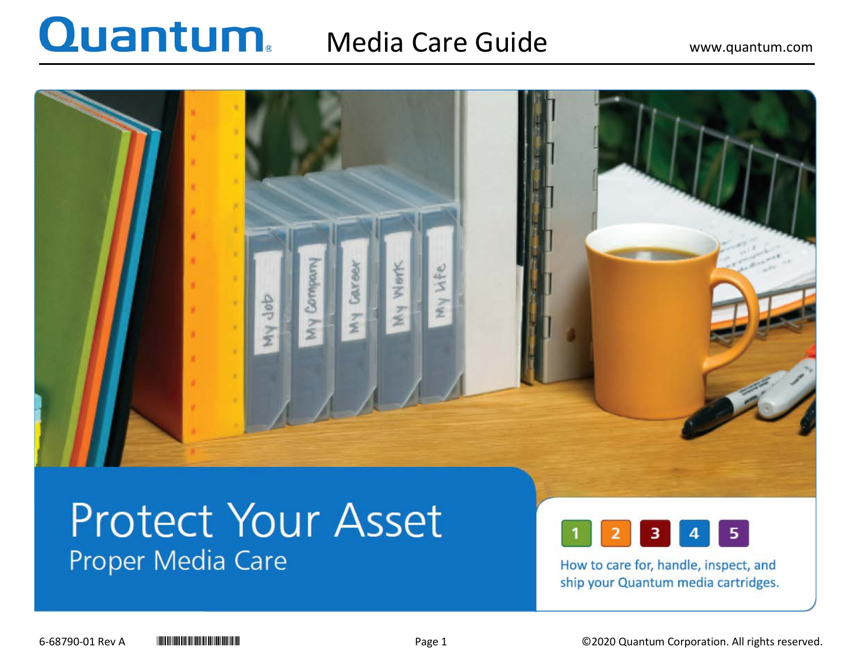### Media Care Guide Www.quantum.com



## **Protect Your Asset** Proper Media Care



How to care for, handle, inspect, and ship your Quantum media cartridges.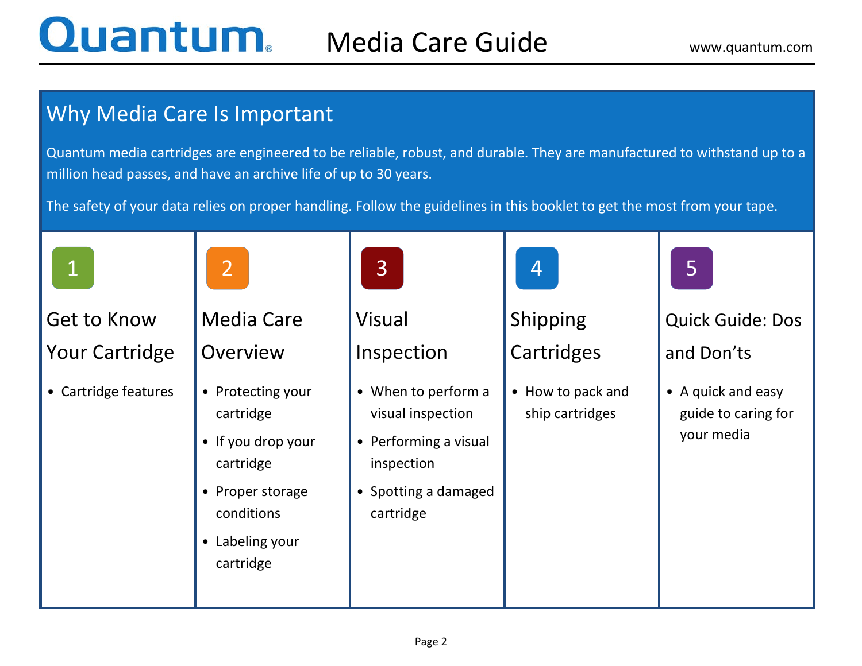### Why Media Care Is Important

Quantum media cartridges are engineered to be reliable, robust, and durable. They are manufactured to withstand up to a million head passes, and have an archive life of up to 30 years.

The safety of your data relies on proper handling. Follow the guidelines in this booklet to get the most from your tape.

| $\mathbf 1$                                 | 2                                                                                                                                   | $\overline{3}$                                                                                                       | 4                                    | 5                                                       |
|---------------------------------------------|-------------------------------------------------------------------------------------------------------------------------------------|----------------------------------------------------------------------------------------------------------------------|--------------------------------------|---------------------------------------------------------|
| <b>Get to Know</b><br><b>Your Cartridge</b> | <b>Media Care</b><br>Overview                                                                                                       | Visual<br>Inspection                                                                                                 | Shipping<br>Cartridges               | <b>Quick Guide: Dos</b><br>and Don'ts                   |
| • Cartridge features                        | • Protecting your<br>cartridge<br>• If you drop your<br>cartridge<br>• Proper storage<br>conditions<br>• Labeling your<br>cartridge | • When to perform a<br>visual inspection<br>• Performing a visual<br>inspection<br>• Spotting a damaged<br>cartridge | • How to pack and<br>ship cartridges | • A quick and easy<br>guide to caring for<br>your media |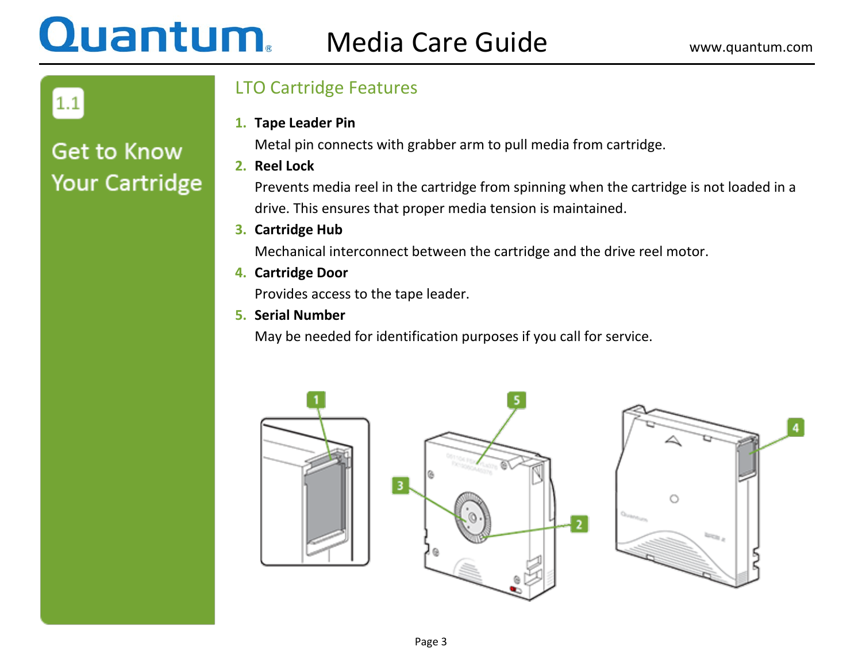## **Quantum.** Media Care Guide www.quantum.com

 $1.1$ 

### **Get to Know Your Cartridge**

### LTO Cartridge Features

**1. Tape Leader Pin** 

Metal pin connects with grabber arm to pull media from cartridge.

**2. Reel Lock**

Prevents media reel in the cartridge from spinning when the cartridge is not loaded in a drive. This ensures that proper media tension is maintained.

**3. Cartridge Hub**

Mechanical interconnect between the cartridge and the drive reel motor.

**4. Cartridge Door**

Provides access to the tape leader.

**5. Serial Number**

May be needed for identification purposes if you call for service.



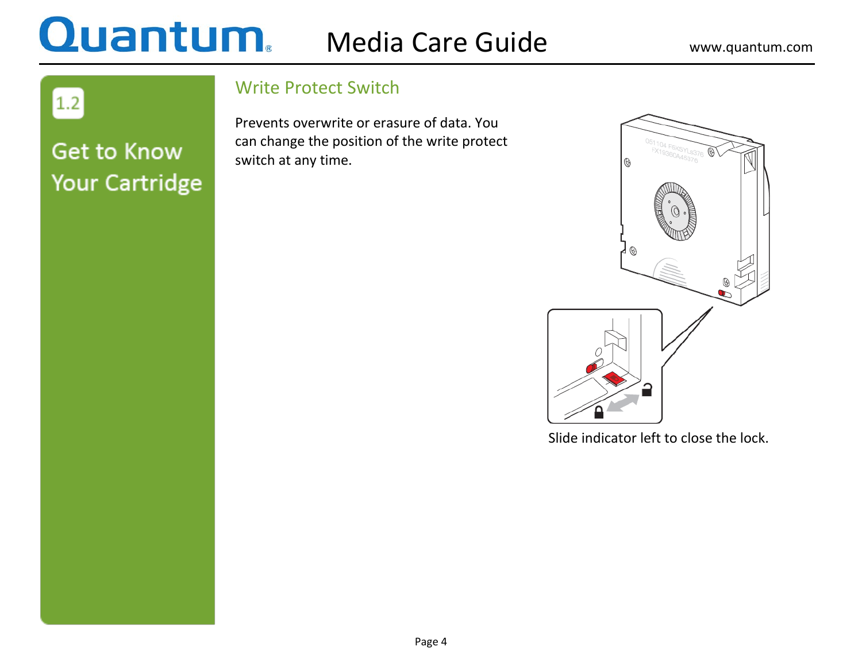## **Quantum** Media Care Guide www.quantum.com

 $\boxed{1.2}$ 

### **Get to Know Your Cartridge**

### Write Protect Switch

Prevents overwrite or erasure of data. You can change the position of the write protect switch at any time.



Slide indicator left to close the lock.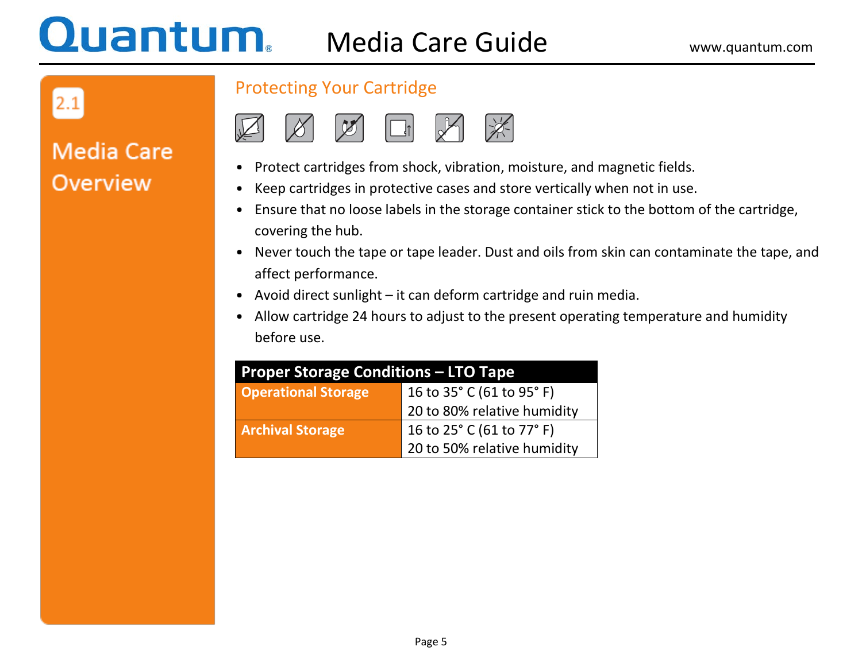## $2.1$

### **Media Care Overview**

### Protecting Your Cartridge



- Protect cartridges from shock, vibration, moisture, and magnetic fields.
- Keep cartridges in protective cases and store vertically when not in use.
- Ensure that no loose labels in the storage container stick to the bottom of the cartridge, covering the hub.
- Never touch the tape or tape leader. Dust and oils from skin can contaminate the tape, and affect performance.
- Avoid direct sunlight it can deform cartridge and ruin media.
- Allow cartridge 24 hours to adjust to the present operating temperature and humidity before use.

| <b>Proper Storage Conditions - LTO Tape</b> |                             |  |  |
|---------------------------------------------|-----------------------------|--|--|
| <b>Operational Storage</b>                  | 16 to 35° C (61 to 95° F)   |  |  |
|                                             | 20 to 80% relative humidity |  |  |
| <b>Archival Storage</b>                     | 16 to 25° C (61 to 77° F)   |  |  |
|                                             | 20 to 50% relative humidity |  |  |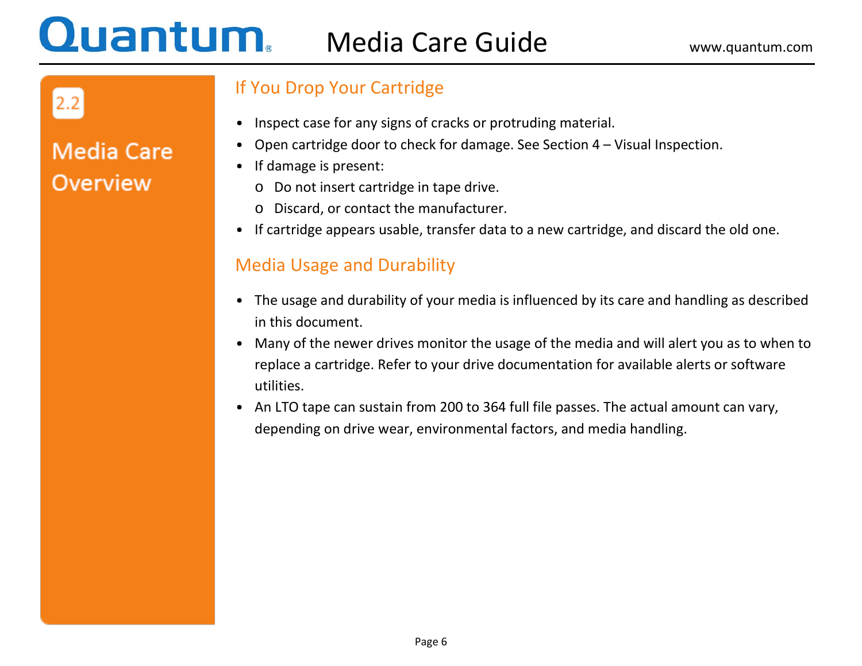### **Quantum.** Media Care Guide Www.quantum.com

2.2

**Media Care** 

**Overview** 

### If You Drop Your Cartridge

- Inspect case for any signs of cracks or protruding material.
- Open cartridge door to check for damage. See Section 4 Visual Inspection.
- If damage is present:
	- o Do not insert cartridge in tape drive.
	- o Discard, or contact the manufacturer.
- If cartridge appears usable, transfer data to a new cartridge, and discard the old one.

### Media Usage and Durability

- The usage and durability of your media is influenced by its care and handling as described in this document.
- Many of the newer drives monitor the usage of the media and will alert you as to when to replace a cartridge. Refer to your drive documentation for available alerts or software utilities.
- An LTO tape can sustain from 200 to 364 full file passes. The actual amount can vary, depending on drive wear, environmental factors, and media handling.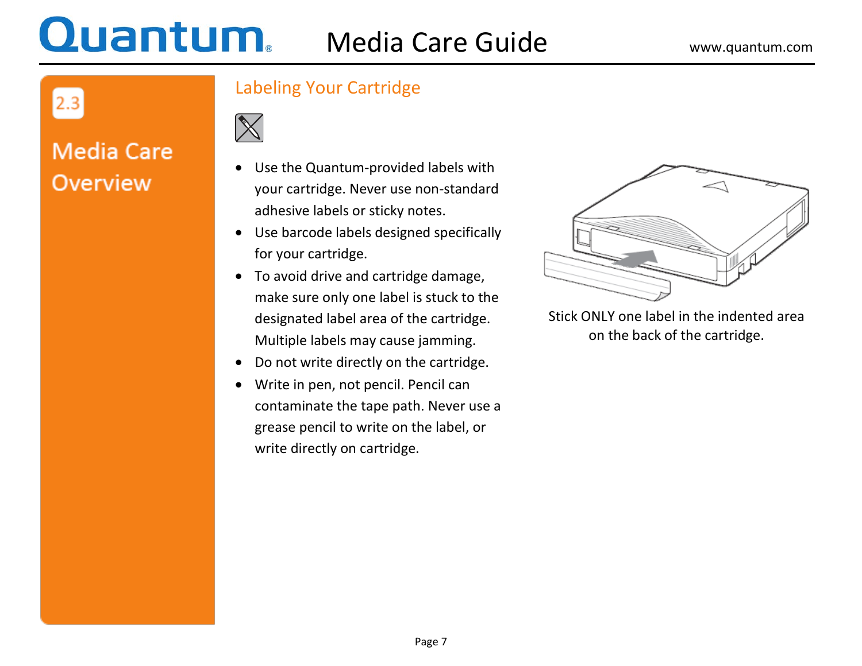## $2.3$

### **Media Care Overview**

### Labeling Your Cartridge



- Use the Quantum-provided labels with your cartridge. Never use non-standard adhesive labels or sticky notes.
- Use barcode labels designed specifically for your cartridge.
- To avoid drive and cartridge damage, make sure only one label is stuck to the designated label area of the cartridge. Multiple labels may cause jamming.
- Do not write directly on the cartridge.
- Write in pen, not pencil. Pencil can contaminate the tape path. Never use a grease pencil to write on the label, or write directly on cartridge.



Stick ONLY one label in the indented area on the back of the cartridge.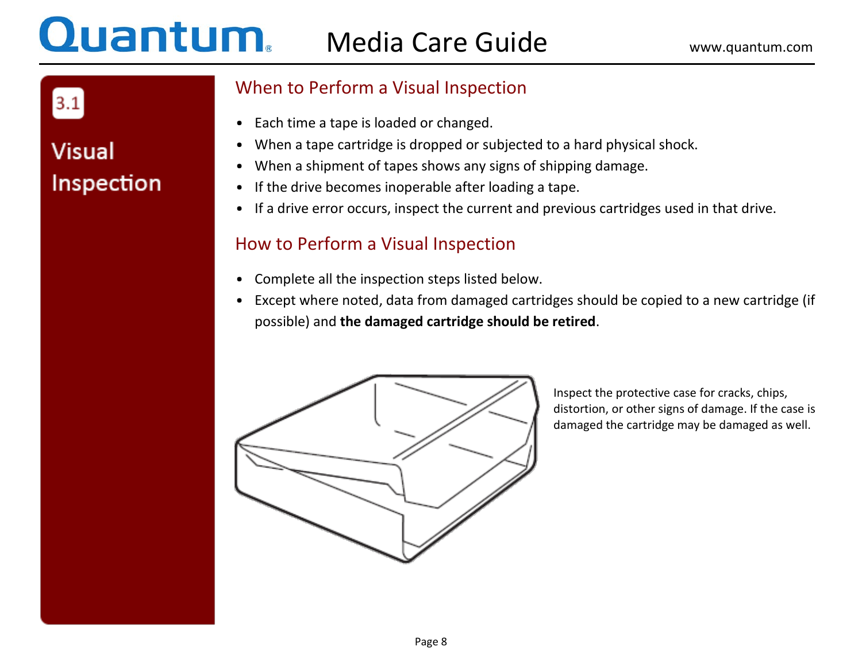## $3.1$

### **Visual** Inspection

### When to Perform a Visual Inspection

- Each time a tape is loaded or changed.
- When a tape cartridge is dropped or subjected to a hard physical shock.
- When a shipment of tapes shows any signs of shipping damage.
- If the drive becomes inoperable after loading a tape.
- If a drive error occurs, inspect the current and previous cartridges used in that drive.

### How to Perform a Visual Inspection

- Complete all the inspection steps listed below.
- Except where noted, data from damaged cartridges should be copied to a new cartridge (if possible) and **the damaged cartridge should be retired**.



Inspect the protective case for cracks, chips, distortion, or other signs of damage. If the case is damaged the cartridge may be damaged as well.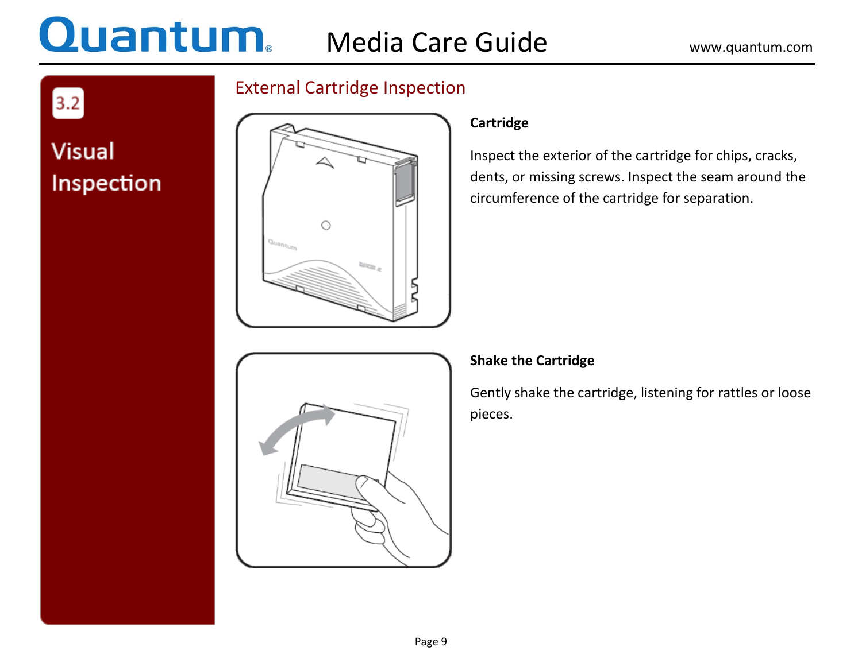# **Quantum.** Media Care Guide www.quantum.com

 $\boxed{3.2}$ 

**Visual** 

Inspection

### External Cartridge Inspection



#### **Cartridge**

Inspect the exterior of the cartridge for chips, cracks, dents, or missing screws. Inspect the seam around the circumference of the cartridge for separation.



### **Shake the Cartridge**

Gently shake the cartridge, listening for rattles or loose pieces.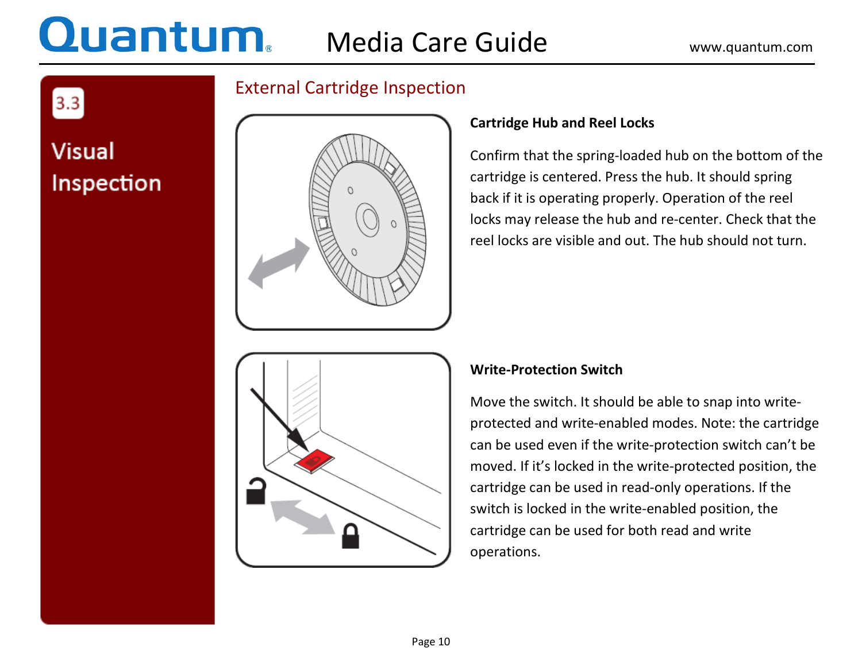$3.3$ 

**Visual** 

Inspection

### External Cartridge Inspection



### **Cartridge Hub and Reel Locks**

Confirm that the spring-loaded hub on the bottom of the cartridge is centered. Press the hub. It should spring back if it is operating properly. Operation of the reel locks may release the hub and re-center. Check that the reel locks are visible and out. The hub should not turn.



#### **Write-Protection Switch**

Move the switch. It should be able to snap into writeprotected and write-enabled modes. Note: the cartridge can be used even if the write-protection switch can't be moved. If it's locked in the write-protected position, the cartridge can be used in read-only operations. If the switch is locked in the write-enabled position, the cartridge can be used for both read and write operations.

Page 10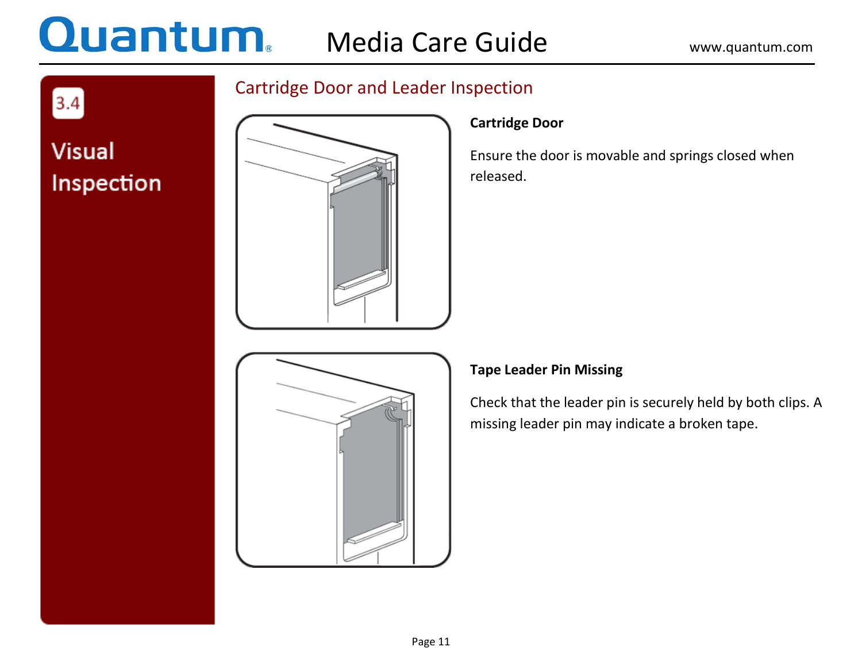# **Quantum** Media Care Guide www.quantum.com

 $3.4$ 

**Visual** 

Inspection

### Cartridge Door and Leader Inspection



### **Cartridge Door**

Ensure the door is movable and springs closed when released.



### **Tape Leader Pin Missing**

Check that the leader pin is securely held by both clips. A missing leader pin may indicate a broken tape.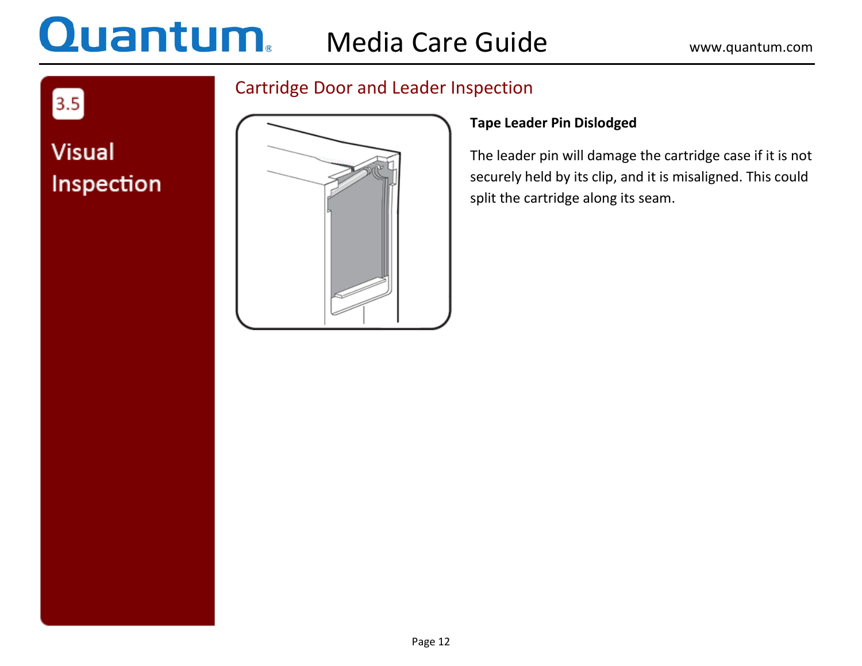## **Quantum.** Media Care Guide www.quantum.com

### Cartridge Door and Leader Inspection



### **Tape Leader Pin Dislodged**

The leader pin will damage the cartridge case if it is not securely held by its clip, and it is misaligned. This could split the cartridge along its seam.

## **Visual** Inspection

 $\boxed{3.5}$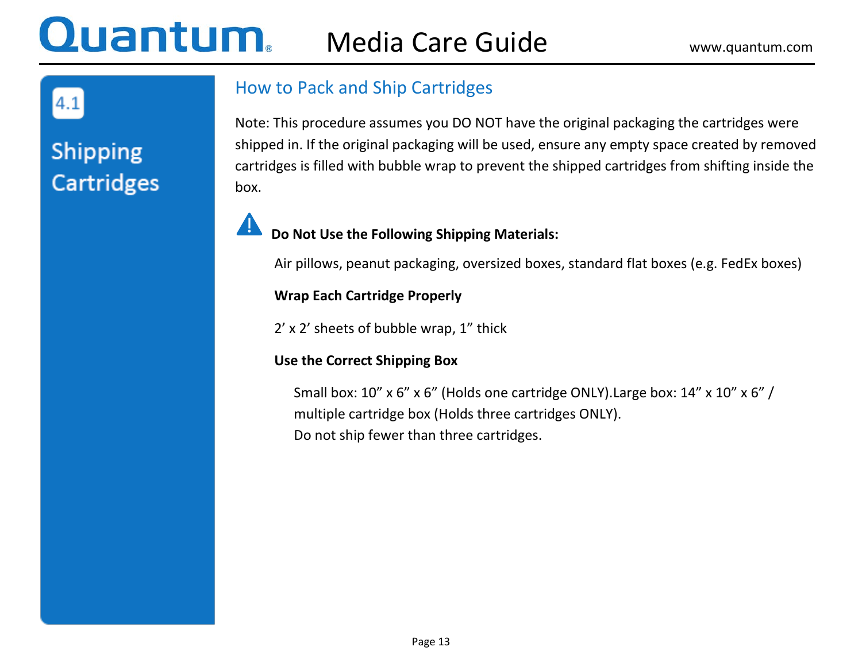### Quantum Media Care Guide Www.quantum.com

4.1

### **Shipping Cartridges**

### How to Pack and Ship Cartridges

Note: This procedure assumes you DO NOT have the original packaging the cartridges were shipped in. If the original packaging will be used, ensure any empty space created by removed cartridges is filled with bubble wrap to prevent the shipped cartridges from shifting inside the box.

### **Do Not Use the Following Shipping Materials:**

Air pillows, peanut packaging, oversized boxes, standard flat boxes (e.g. FedEx boxes)

#### **Wrap Each Cartridge Properly**

2' x 2' sheets of bubble wrap, 1" thick

### **Use the Correct Shipping Box**

Small box: 10" x 6" x 6" (Holds one cartridge ONLY). Large box: 14" x 10" x 6" / multiple cartridge box (Holds three cartridges ONLY). Do not ship fewer than three cartridges.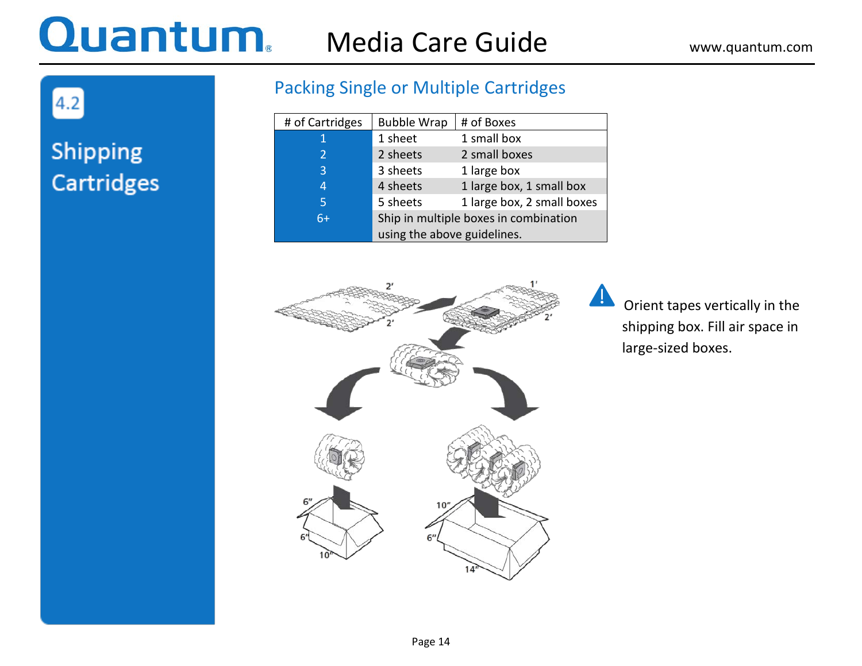## Media Care Guide Www.quantum.com

4.2

### Shipping **Cartridges**

### Packing Single or Multiple Cartridges

| # of Cartridges | <b>Bubble Wrap</b>                    | # of Boxes                 |  |
|-----------------|---------------------------------------|----------------------------|--|
| 1               | 1 sheet                               | 1 small box                |  |
| $\overline{2}$  | 2 sheets                              | 2 small boxes              |  |
| 3               | 3 sheets                              | 1 large box                |  |
| 4               | 4 sheets                              | 1 large box, 1 small box   |  |
| 5               | 5 sheets                              | 1 large box, 2 small boxes |  |
| $6+$            | Ship in multiple boxes in combination |                            |  |
|                 | using the above guidelines.           |                            |  |



 Orient tapes vertically in the shipping box. Fill air space in large-sized boxes.

 $\blacktriangle$